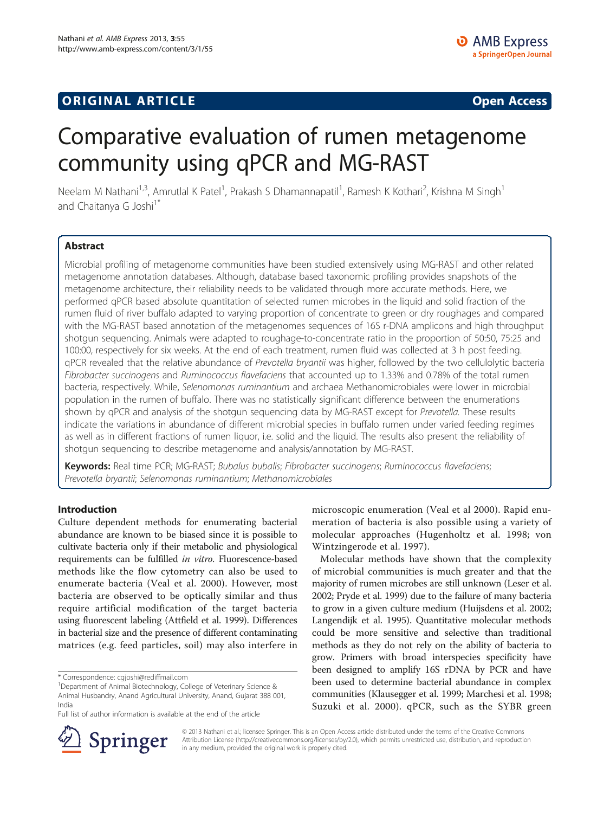## **ORIGINAL ARTICLE CONSUMING A LIGACION CONSUMING A LIGACION CONSUMING A LIGACION**

# Comparative evaluation of rumen metagenome community using qPCR and MG-RAST

Neelam M Nathani<sup>1,3</sup>, Amrutlal K Patel<sup>1</sup>, Prakash S Dhamannapatil<sup>1</sup>, Ramesh K Kothari<sup>2</sup>, Krishna M Singh<sup>1</sup> and Chaitanya G Joshi<sup>1\*</sup>

## Abstract

Microbial profiling of metagenome communities have been studied extensively using MG-RAST and other related metagenome annotation databases. Although, database based taxonomic profiling provides snapshots of the metagenome architecture, their reliability needs to be validated through more accurate methods. Here, we performed qPCR based absolute quantitation of selected rumen microbes in the liquid and solid fraction of the rumen fluid of river buffalo adapted to varying proportion of concentrate to green or dry roughages and compared with the MG-RAST based annotation of the metagenomes sequences of 16S r-DNA amplicons and high throughput shotgun sequencing. Animals were adapted to roughage-to-concentrate ratio in the proportion of 50:50, 75:25 and 100:00, respectively for six weeks. At the end of each treatment, rumen fluid was collected at 3 h post feeding. qPCR revealed that the relative abundance of Prevotella bryantii was higher, followed by the two cellulolytic bacteria Fibrobacter succinogens and Ruminococcus flavefaciens that accounted up to 1.33% and 0.78% of the total rumen bacteria, respectively. While, Selenomonas ruminantium and archaea Methanomicrobiales were lower in microbial population in the rumen of buffalo. There was no statistically significant difference between the enumerations shown by qPCR and analysis of the shotgun sequencing data by MG-RAST except for Prevotella. These results indicate the variations in abundance of different microbial species in buffalo rumen under varied feeding regimes as well as in different fractions of rumen liquor, i.e. solid and the liquid. The results also present the reliability of shotgun sequencing to describe metagenome and analysis/annotation by MG-RAST.

Keywords: Real time PCR; MG-RAST; Bubalus bubalis; Fibrobacter succinogens; Ruminococcus flavefaciens; Prevotella bryantii; Selenomonas ruminantium; Methanomicrobiales

## Introduction

Culture dependent methods for enumerating bacterial abundance are known to be biased since it is possible to cultivate bacteria only if their metabolic and physiological requirements can be fulfilled in vitro. Fluorescence-based methods like the flow cytometry can also be used to enumerate bacteria (Veal et al. [2000](#page-7-0)). However, most bacteria are observed to be optically similar and thus require artificial modification of the target bacteria using fluorescent labeling (Attfield et al. [1999](#page-6-0)). Differences in bacterial size and the presence of different contaminating matrices (e.g. feed particles, soil) may also interfere in

Department of Animal Biotechnology, College of Veterinary Science & Animal Husbandry, Anand Agricultural University, Anand, Gujarat 388 001, India

microscopic enumeration (Veal et al [2000](#page-7-0)). Rapid enumeration of bacteria is also possible using a variety of molecular approaches (Hugenholtz et al. [1998](#page-6-0); von Wintzingerode et al. [1997](#page-7-0)).

Molecular methods have shown that the complexity of microbial communities is much greater and that the majority of rumen microbes are still unknown (Leser et al. [2002;](#page-6-0) Pryde et al. [1999\)](#page-7-0) due to the failure of many bacteria to grow in a given culture medium (Huijsdens et al. [2002](#page-6-0); Langendijk et al. [1995\)](#page-6-0). Quantitative molecular methods could be more sensitive and selective than traditional methods as they do not rely on the ability of bacteria to grow. Primers with broad interspecies specificity have been designed to amplify 16S rDNA by PCR and have been used to determine bacterial abundance in complex communities (Klausegger et al. [1999](#page-6-0); Marchesi et al. [1998](#page-6-0); Suzuki et al. [2000\)](#page-7-0). qPCR, such as the SYBR green



© 2013 Nathani et al.; licensee Springer. This is an Open Access article distributed under the terms of the Creative Commons Attribution License [\(http://creativecommons.org/licenses/by/2.0\)](http://creativecommons.org/licenses/by/2.0), which permits unrestricted use, distribution, and reproduction in any medium, provided the original work is properly cited.

<sup>\*</sup> Correspondence: [cgjoshi@rediffmail.com](mailto:cgjoshi@rediffmail.com) <sup>1</sup>

Full list of author information is available at the end of the article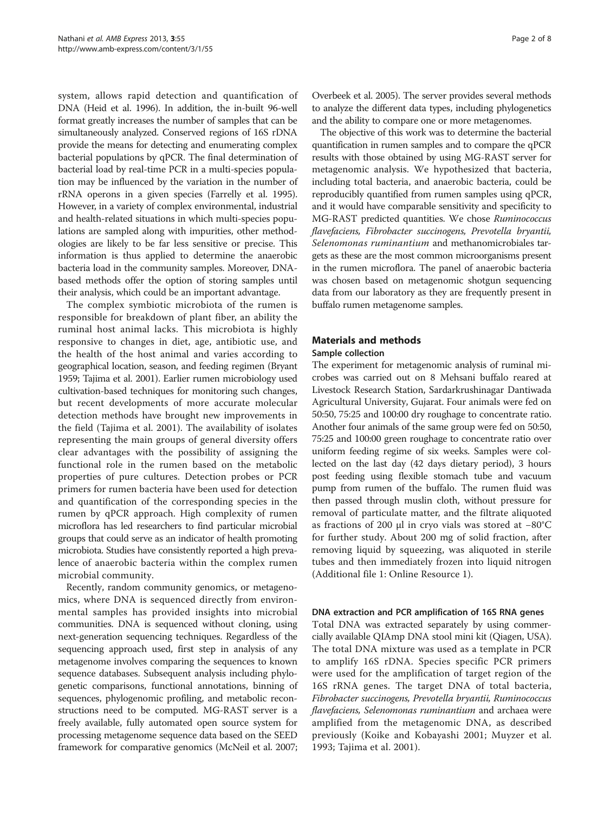system, allows rapid detection and quantification of DNA (Heid et al. [1996\)](#page-6-0). In addition, the in-built 96-well format greatly increases the number of samples that can be simultaneously analyzed. Conserved regions of 16S rDNA provide the means for detecting and enumerating complex bacterial populations by qPCR. The final determination of bacterial load by real-time PCR in a multi-species population may be influenced by the variation in the number of rRNA operons in a given species (Farrelly et al. [1995](#page-6-0)). However, in a variety of complex environmental, industrial and health-related situations in which multi-species populations are sampled along with impurities, other methodologies are likely to be far less sensitive or precise. This information is thus applied to determine the anaerobic bacteria load in the community samples. Moreover, DNAbased methods offer the option of storing samples until their analysis, which could be an important advantage.

The complex symbiotic microbiota of the rumen is responsible for breakdown of plant fiber, an ability the ruminal host animal lacks. This microbiota is highly responsive to changes in diet, age, antibiotic use, and the health of the host animal and varies according to geographical location, season, and feeding regimen (Bryant [1959;](#page-6-0) Tajima et al. [2001](#page-7-0)). Earlier rumen microbiology used cultivation-based techniques for monitoring such changes, but recent developments of more accurate molecular detection methods have brought new improvements in the field (Tajima et al. [2001\)](#page-7-0). The availability of isolates representing the main groups of general diversity offers clear advantages with the possibility of assigning the functional role in the rumen based on the metabolic properties of pure cultures. Detection probes or PCR primers for rumen bacteria have been used for detection and quantification of the corresponding species in the rumen by qPCR approach. High complexity of rumen microflora has led researchers to find particular microbial groups that could serve as an indicator of health promoting microbiota. Studies have consistently reported a high prevalence of anaerobic bacteria within the complex rumen microbial community.

Recently, random community genomics, or metagenomics, where DNA is sequenced directly from environmental samples has provided insights into microbial communities. DNA is sequenced without cloning, using next-generation sequencing techniques. Regardless of the sequencing approach used, first step in analysis of any metagenome involves comparing the sequences to known sequence databases. Subsequent analysis including phylogenetic comparisons, functional annotations, binning of sequences, phylogenomic profiling, and metabolic reconstructions need to be computed. MG-RAST server is a freely available, fully automated open source system for processing metagenome sequence data based on the SEED framework for comparative genomics (McNeil et al. [2007](#page-6-0);

Overbeek et al. [2005\)](#page-7-0). The server provides several methods to analyze the different data types, including phylogenetics and the ability to compare one or more metagenomes.

The objective of this work was to determine the bacterial quantification in rumen samples and to compare the qPCR results with those obtained by using MG-RAST server for metagenomic analysis. We hypothesized that bacteria, including total bacteria, and anaerobic bacteria, could be reproducibly quantified from rumen samples using qPCR, and it would have comparable sensitivity and specificity to MG-RAST predicted quantities. We chose Ruminococcus flavefaciens, Fibrobacter succinogens, Prevotella bryantii, Selenomonas ruminantium and methanomicrobiales tar-<br>gets as these are the most common microorganisms present gets as these are the most common microorganisms present in the rumen microflora. The panel of anaerobic bacteria was chosen based on metagenomic shotgun sequencing data from our laboratory as they are frequently present in buffalo rumen metagenome samples.

## Materials and methods

#### Sample collection

The experiment for metagenomic analysis of ruminal microbes was carried out on 8 Mehsani buffalo reared at Livestock Research Station, Sardarkrushinagar Dantiwada Agricultural University, Gujarat. Four animals were fed on 50:50, 75:25 and 100:00 dry roughage to concentrate ratio. Another four animals of the same group were fed on 50:50, 75:25 and 100:00 green roughage to concentrate ratio over uniform feeding regime of six weeks. Samples were collected on the last day (42 days dietary period), 3 hours post feeding using flexible stomach tube and vacuum pump from rumen of the buffalo. The rumen fluid was then passed through muslin cloth, without pressure for removal of particulate matter, and the filtrate aliquoted as fractions of 200 μl in cryo vials was stored at −80°C for further study. About 200 mg of solid fraction, after removing liquid by squeezing, was aliquoted in sterile tubes and then immediately frozen into liquid nitrogen (Additional file [1](#page-6-0): Online Resource 1).

#### DNA extraction and PCR amplification of 16S RNA genes

Total DNA was extracted separately by using commercially available QIAmp DNA stool mini kit (Qiagen, USA). The total DNA mixture was used as a template in PCR to amplify 16S rDNA. Species specific PCR primers were used for the amplification of target region of the 16S rRNA genes. The target DNA of total bacteria, flavefaciens, Selenomonas ruminantium and archaea were<br>applified from the metagenomic DNA as described amplified from the metagenomic DNA, as described previously (Koike and Kobayashi [2001](#page-6-0); Muyzer et al. [1993](#page-6-0); Tajima et al. [2001\)](#page-7-0).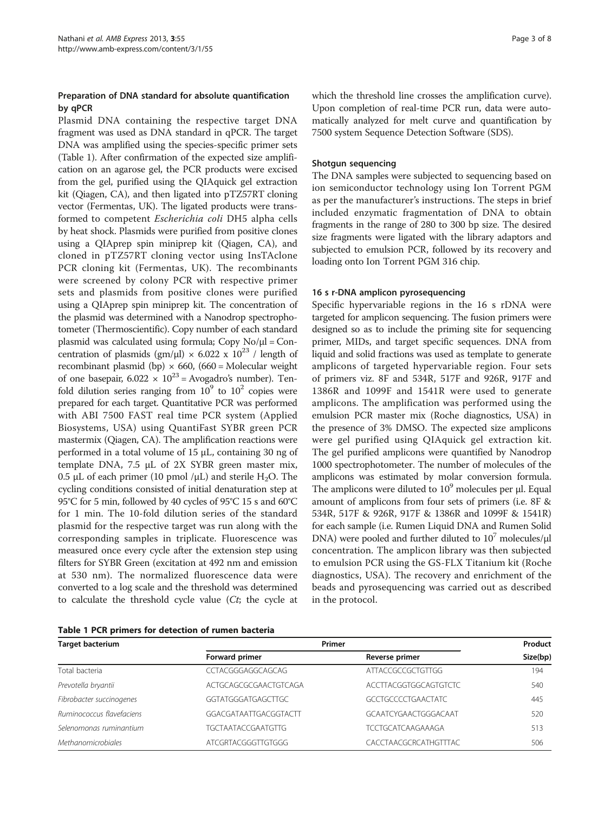## Preparation of DNA standard for absolute quantification by qPCR

Plasmid DNA containing the respective target DNA fragment was used as DNA standard in qPCR. The target DNA was amplified using the species-specific primer sets (Table 1). After confirmation of the expected size amplification on an agarose gel, the PCR products were excised from the gel, purified using the QIAquick gel extraction kit (Qiagen, CA), and then ligated into pTZ57RT cloning vector (Fermentas, UK). The ligated products were transformed to competent Escherichia coli DH5 alpha cells by heat shock. Plasmids were purified from positive clones using a QIAprep spin miniprep kit (Qiagen, CA), and cloned in pTZ57RT cloning vector using InsTAclone PCR cloning kit (Fermentas, UK). The recombinants were screened by colony PCR with respective primer sets and plasmids from positive clones were purified using a QIAprep spin miniprep kit. The concentration of the plasmid was determined with a Nanodrop spectrophotometer (Thermoscientific). Copy number of each standard plasmid was calculated using formula; Copy  $No/µl = Con$ centration of plasmids (gm/ $\mu$ l) × 6.022 x 10<sup>23</sup> / length of recombinant plasmid (bp)  $\times$  660, (660 = Molecular weight of one basepair,  $6.022 \times 10^{23}$  = Avogadro's number). Tenfold dilution series ranging from  $10^9$  to  $10^2$  copies were prepared for each target. Quantitative PCR was performed with ABI 7500 FAST real time PCR system (Applied Biosystems, USA) using QuantiFast SYBR green PCR mastermix (Qiagen, CA). The amplification reactions were performed in a total volume of 15 μL, containing 30 ng of template DNA, 7.5 μL of 2X SYBR green master mix, 0.5 μL of each primer (10 pmol /μL) and sterile H<sub>2</sub>O. The cycling conditions consisted of initial denaturation step at 95°C for 5 min, followed by 40 cycles of 95°C 15 s and 60°C for 1 min. The 10-fold dilution series of the standard plasmid for the respective target was run along with the corresponding samples in triplicate. Fluorescence was measured once every cycle after the extension step using filters for SYBR Green (excitation at 492 nm and emission at 530 nm). The normalized fluorescence data were converted to a log scale and the threshold was determined to calculate the threshold cycle value (Ct; the cycle at which the threshold line crosses the amplification curve). Upon completion of real-time PCR run, data were automatically analyzed for melt curve and quantification by 7500 system Sequence Detection Software (SDS).

### Shotgun sequencing

The DNA samples were subjected to sequencing based on ion semiconductor technology using Ion Torrent PGM as per the manufacturer's instructions. The steps in brief included enzymatic fragmentation of DNA to obtain fragments in the range of 280 to 300 bp size. The desired size fragments were ligated with the library adaptors and subjected to emulsion PCR, followed by its recovery and loading onto Ion Torrent PGM 316 chip.

#### 16 s r-DNA amplicon pyrosequencing

Specific hypervariable regions in the 16 s rDNA were targeted for amplicon sequencing. The fusion primers were designed so as to include the priming site for sequencing primer, MIDs, and target specific sequences. DNA from liquid and solid fractions was used as template to generate amplicons of targeted hypervariable region. Four sets of primers viz. 8F and 534R, 517F and 926R, 917F and 1386R and 1099F and 1541R were used to generate amplicons. The amplification was performed using the emulsion PCR master mix (Roche diagnostics, USA) in the presence of 3% DMSO. The expected size amplicons were gel purified using QIAquick gel extraction kit. The gel purified amplicons were quantified by Nanodrop 1000 spectrophotometer. The number of molecules of the amplicons was estimated by molar conversion formula. The amplicons were diluted to  $10^9$  molecules per μl. Equal amount of amplicons from four sets of primers (i.e. 8F & 534R, 517F & 926R, 917F & 1386R and 1099F & 1541R) for each sample (i.e. Rumen Liquid DNA and Rumen Solid DNA) were pooled and further diluted to  $10<sup>7</sup>$  molecules/ $\mu$ l concentration. The amplicon library was then subjected to emulsion PCR using the GS-FLX Titanium kit (Roche diagnostics, USA). The recovery and enrichment of the beads and pyrosequencing was carried out as described in the protocol.

Table 1 PCR primers for detection of rumen bacteria

| <b>Target bacterium</b>   | Primer                    | Product                      |          |
|---------------------------|---------------------------|------------------------------|----------|
|                           | Forward primer            | Reverse primer               | Size(bp) |
| Total bacteria            | CCTACGGGAGGCAGCAG         | ATTACCGCCGCTGTTGG            | 194      |
| Prevotella bryantii       | ACTGCAGCGCGAACTGTCAGA     | <b>ACCTTACGGTGGCAGTGTCTC</b> | 540      |
| Fibrobacter succinogenes  | GGTATGGGATGAGCTTGC        | <b>GCCTGCCCCTGAACTATC</b>    | 445      |
| Ruminococcus flavefaciens | GGACGATAATTGACGGTACTT     | GCAATCYGAACTGGGACAAT         | 520      |
| Selenomonas ruminantium   | <b>TGCTAATACCGAATGTTG</b> | <b>TCCTGCATCAAGAAAGA</b>     | 513      |
| Methanomicrobiales        | ATCGRTACGGGTTGTGGG        | CACCTAACGCRCATHGTTTAC        | 506      |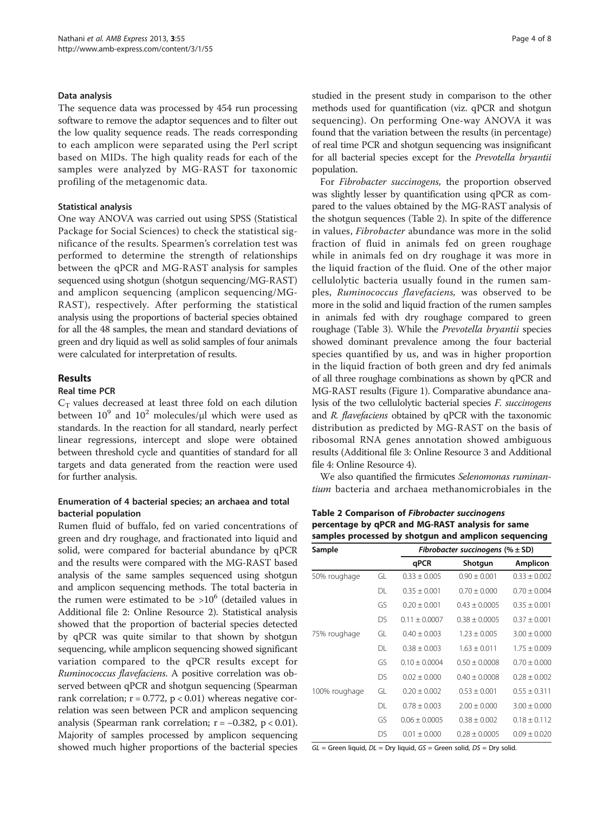#### Data analysis

The sequence data was processed by 454 run processing software to remove the adaptor sequences and to filter out the low quality sequence reads. The reads corresponding to each amplicon were separated using the Perl script based on MIDs. The high quality reads for each of the samples were analyzed by MG-RAST for taxonomic profiling of the metagenomic data.

### Statistical analysis

One way ANOVA was carried out using SPSS (Statistical Package for Social Sciences) to check the statistical significance of the results. Spearmen's correlation test was performed to determine the strength of relationships between the qPCR and MG-RAST analysis for samples sequenced using shotgun (shotgun sequencing/MG-RAST) and amplicon sequencing (amplicon sequencing/MG-RAST), respectively. After performing the statistical analysis using the proportions of bacterial species obtained for all the 48 samples, the mean and standard deviations of green and dry liquid as well as solid samples of four animals were calculated for interpretation of results.

#### Results

## Real time PCR

 $C_T$  values decreased at least three fold on each dilution between  $10^9$  and  $10^2$  molecules/ $\mu$ l which were used as standards. In the reaction for all standard, nearly perfect linear regressions, intercept and slope were obtained between threshold cycle and quantities of standard for all targets and data generated from the reaction were used for further analysis.

## Enumeration of 4 bacterial species; an archaea and total bacterial population

Rumen fluid of buffalo, fed on varied concentrations of green and dry roughage, and fractionated into liquid and solid, were compared for bacterial abundance by qPCR and the results were compared with the MG-RAST based analysis of the same samples sequenced using shotgun and amplicon sequencing methods. The total bacteria in the rumen were estimated to be  $>10^6$  (detailed values in Additional file [2](#page-6-0): Online Resource 2). Statistical analysis showed that the proportion of bacterial species detected by qPCR was quite similar to that shown by shotgun sequencing, while amplicon sequencing showed significant variation compared to the qPCR results except for Ruminococcus flavefaciens. A positive correlation was observed between qPCR and shotgun sequencing (Spearman rank correlation;  $r = 0.772$ ,  $p < 0.01$ ) whereas negative correlation was seen between PCR and amplicon sequencing analysis (Spearman rank correlation;  $r = -0.382$ ,  $p < 0.01$ ). Majority of samples processed by amplicon sequencing showed much higher proportions of the bacterial species studied in the present study in comparison to the other methods used for quantification (viz. qPCR and shotgun sequencing). On performing One-way ANOVA it was found that the variation between the results (in percentage) of real time PCR and shotgun sequencing was insignificant for all bacterial species except for the Prevotella bryantii population.

For Fibrobacter succinogens, the proportion observed was slightly lesser by quantification using qPCR as compared to the values obtained by the MG-RAST analysis of the shotgun sequences (Table 2). In spite of the difference in values, Fibrobacter abundance was more in the solid fraction of fluid in animals fed on green roughage while in animals fed on dry roughage it was more in the liquid fraction of the fluid. One of the other major cellulolytic bacteria usually found in the rumen samples, Ruminococcus flavefaciens, was observed to be more in the solid and liquid fraction of the rumen samples in animals fed with dry roughage compared to green roughage (Table [3\)](#page-4-0). While the Prevotella bryantii species showed dominant prevalence among the four bacterial species quantified by us, and was in higher proportion in the liquid fraction of both green and dry fed animals of all three roughage combinations as shown by qPCR and MG-RAST results (Figure [1\)](#page-4-0). Comparative abundance analysis of the two cellulolytic bacterial species F. succinogens and R. flavefaciens obtained by qPCR with the taxonomic distribution as predicted by MG-RAST on the basis of ribosomal RNA genes annotation showed ambiguous results (Additional file [3](#page-6-0): Online Resource 3 and Additional file [4:](#page-6-0) Online Resource 4).

We also quantified the firmicutes Selenomonas ruminantium bacteria and archaea methanomicrobiales in the

Table 2 Comparison of Fibrobacter succinogens percentage by qPCR and MG-RAST analysis for same samples processed by shotgun and amplicon sequencing

| Sample        |     | Fibrobacter succinogens (% $\pm$ SD) |                   |                  |
|---------------|-----|--------------------------------------|-------------------|------------------|
|               |     | qPCR                                 | Shotgun           | Amplicon         |
| 50% roughage  | GL  | $0.33 + 0.005$                       | $0.90 + 0.001$    | $0.33 \pm 0.002$ |
|               | DL  | $0.35 \pm 0.001$                     | $0.70 \pm 0.000$  | $0.70 \pm 0.004$ |
|               | GS  | $0.20 + 0.001$                       | $0.43 + 0.0005$   | $0.35 + 0.001$   |
|               | DS  | $0.11 + 0.0007$                      | $0.38 \pm 0.0005$ | $0.37 \pm 0.001$ |
| 75% roughage  | GL. | $0.40 \pm 0.003$                     | $1.23 + 0.005$    | $3.00 \pm 0.000$ |
|               | DL. | $0.38 \pm 0.003$                     | $1.63 \pm 0.011$  | $1.75 \pm 0.009$ |
|               | GS  | $0.10 \pm 0.0004$                    | $0.50 + 0.0008$   | $0.70 \pm 0.000$ |
|               | DS. | $0.02 + 0.000$                       | $0.40 \pm 0.0008$ | $0.28 \pm 0.002$ |
| 100% roughage | GL. | $0.20 + 0.002$                       | $0.53 \pm 0.001$  | $0.55 \pm 0.311$ |
|               | DL. | $0.78 \pm 0.003$                     | $2.00 + 0.000$    | $3.00 \pm 0.000$ |
|               | GS  | $0.06 \pm 0.0005$                    | $0.38 \pm 0.002$  | $0.18 \pm 0.112$ |
|               | DS. | $0.01 + 0.000$                       | $0.28 + 0.0005$   | $0.09 + 0.020$   |

 $GL =$  Green liquid,  $DL =$  Dry liquid,  $GS =$  Green solid,  $DS =$  Dry solid.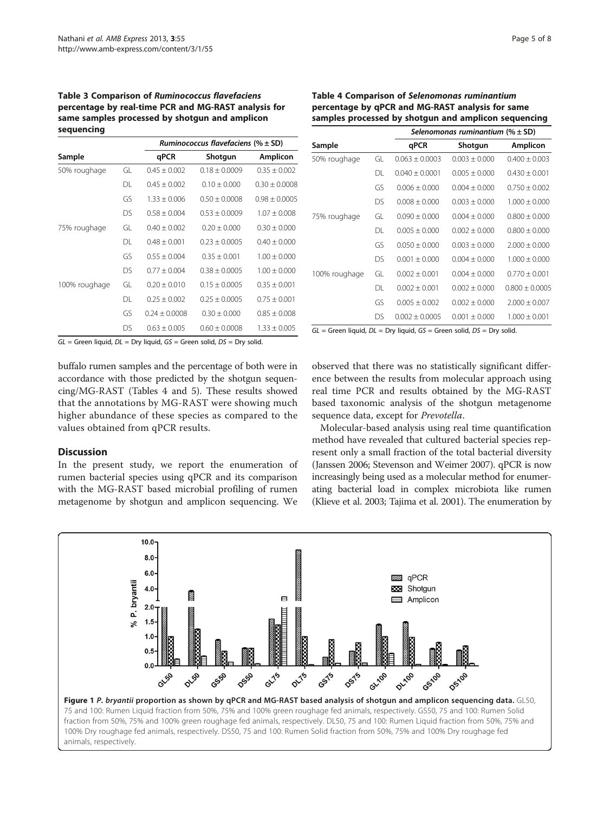### <span id="page-4-0"></span>Table 3 Comparison of Ruminococcus flavefaciens percentage by real-time PCR and MG-RAST analysis for same samples processed by shotgun and amplicon sequencing

|               |     | Ruminococcus flavefaciens (% $\pm$ SD) |                 |                   |
|---------------|-----|----------------------------------------|-----------------|-------------------|
| Sample        |     | qPCR                                   | Shotgun         | <b>Amplicon</b>   |
| 50% roughage  | GL. | $0.45 + 0.002$                         | $0.18 + 0.0009$ | $0.35 + 0.002$    |
|               | DI. | $0.45 + 0.002$                         | $0.10 + 0.000$  | $0.30 + 0.0008$   |
|               | GS  | $1.33 + 0.006$                         | $0.50 + 0.0008$ | $0.98 \pm 0.0005$ |
|               | DS. | $0.58 + 0.004$                         | $0.53 + 0.0009$ | $1.07 + 0.008$    |
| 75% roughage  | GL  | $0.40 + 0.002$                         | $0.20 + 0.000$  | $0.30 + 0.000$    |
|               | DI. | $0.48 + 0.001$                         | $0.23 + 0.0005$ | $0.40 + 0.000$    |
|               | GS  | $0.55 + 0.004$                         | $0.35 + 0.001$  | $1.00 + 0.000$    |
|               | DS. | $0.77 + 0.004$                         | $0.38 + 0.0005$ | $1.00 + 0.000$    |
| 100% roughage | GL  | $0.20 + 0.010$                         | $0.15 + 0.0005$ | $0.35 + 0.001$    |
|               | DL. | $0.25 + 0.002$                         | $0.25 + 0.0005$ | $0.75 + 0.001$    |
|               | GS  | $0.24 + 0.0008$                        | $0.30 + 0.000$  | $0.85 \pm 0.008$  |
|               | DS. | $0.63 + 0.005$                         | $0.60 + 0.0008$ | $1.33 + 0.005$    |

Table 4 Comparison of Selenomonas ruminantium percentage by qPCR and MG-RAST analysis for same samples processed by shotgun and amplicon sequencing  $S$ elenomonas ruminantium ( $N + \text{SD}$ )

|                                                                               |    | selenomonas ruminantium (% ± SD) |                   |                    |
|-------------------------------------------------------------------------------|----|----------------------------------|-------------------|--------------------|
| Sample                                                                        |    | qPCR                             | Shotgun           | Amplicon           |
| 50% roughage                                                                  | GL | $0.063 \pm 0.0003$               | $0.003 \pm 0.000$ | $0.400 \pm 0.003$  |
|                                                                               | DL | $0.040 \pm 0.0001$               | $0.005 \pm 0.000$ | $0.430 \pm 0.001$  |
|                                                                               | GS | $0.006 \pm 0.000$                | $0.004 + 0.000$   | $0.750 \pm 0.002$  |
|                                                                               | DS | $0.008 + 0.000$                  | $0.003 + 0.000$   | $1.000 \pm 0.000$  |
| 75% roughage                                                                  | GL | $0.090 \pm 0.000$                | $0.004 \pm 0.000$ | $0.800 \pm 0.000$  |
|                                                                               | DL | $0.005 \pm 0.000$                | $0.002 \pm 0.000$ | $0.800 \pm 0.000$  |
|                                                                               | GS | $0.050 \pm 0.000$                | $0.003 \pm 0.000$ | $2.000 \pm 0.000$  |
|                                                                               | DS | $0.001 \pm 0.000$                | $0.004 + 0.000$   | $1.000 \pm 0.000$  |
| 100% roughage                                                                 | GL | $0.002 \pm 0.001$                | $0.004 + 0.000$   | $0.770 \pm 0.001$  |
|                                                                               | DL | $0.002 + 0.001$                  | $0.002 + 0.000$   | $0.800 \pm 0.0005$ |
|                                                                               | GS | $0.005 \pm 0.002$                | $0.002 \pm 0.000$ | $2.000 \pm 0.007$  |
|                                                                               | DS | $0.002 \pm 0.0005$               | $0.001 \pm 0.000$ | $1.000 \pm 0.001$  |
| $GL =$ Green liquid, $DL =$ Dry liquid, $GS =$ Green solid, $DS =$ Dry solid. |    |                                  |                   |                    |

 $GL =$  Green liquid,  $DL =$  Dry liquid,  $GS =$  Green solid,  $DS =$  Dry solid.

buffalo rumen samples and the percentage of both were in accordance with those predicted by the shotgun sequencing/MG-RAST (Tables 4 and [5\)](#page-5-0). These results showed that the annotations by MG-RAST were showing much higher abundance of these species as compared to the values obtained from qPCR results.

#### **Discussion**

In the present study, we report the enumeration of rumen bacterial species using qPCR and its comparison with the MG-RAST based microbial profiling of rumen metagenome by shotgun and amplicon sequencing. We observed that there was no statistically significant difference between the results from molecular approach using real time PCR and results obtained by the MG-RAST based taxonomic analysis of the shotgun metagenome sequence data, except for Prevotella.

Molecular-based analysis using real time quantification method have revealed that cultured bacterial species represent only a small fraction of the total bacterial diversity (Janssen [2006](#page-6-0); Stevenson and Weimer [2007\)](#page-7-0). qPCR is now increasingly being used as a molecular method for enumerating bacterial load in complex microbiota like rumen (Klieve et al. [2003](#page-6-0); Tajima et al. [2001\)](#page-7-0). The enumeration by

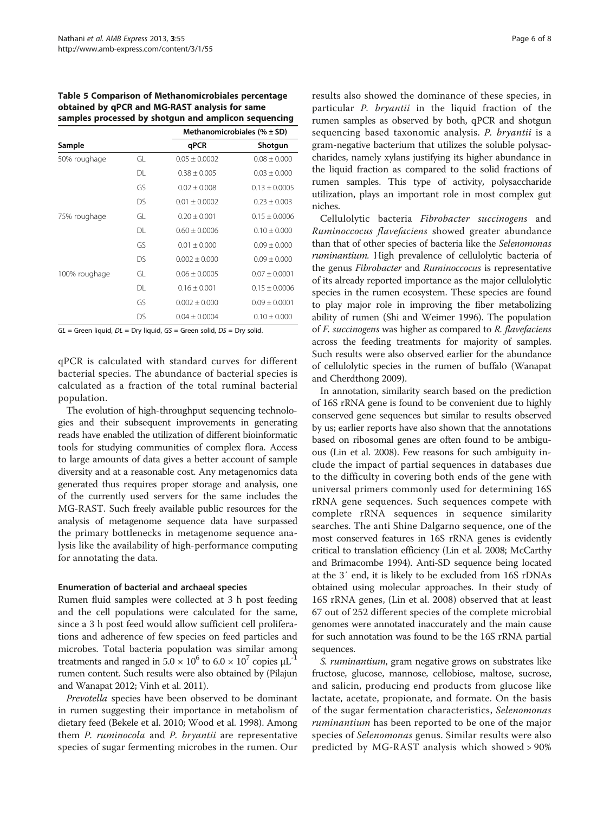<span id="page-5-0"></span>Table 5 Comparison of Methanomicrobiales percentage obtained by qPCR and MG-RAST analysis for same samples processed by shotgun and amplicon sequencing

|               |    | Methanomicrobiales (% $\pm$ SD) |                   |
|---------------|----|---------------------------------|-------------------|
| Sample        |    | qPCR                            | Shotgun           |
| 50% roughage  | GL | $0.05 \pm 0.0002$               | $0.08 \pm 0.000$  |
|               | DL | $0.38 \pm 0.005$                | $0.03 \pm 0.000$  |
|               | GS | $0.02 \pm 0.008$                | $0.13 \pm 0.0005$ |
|               | DS | $0.01 \pm 0.0002$               | $0.23 \pm 0.003$  |
| 75% roughage  | GL | $0.20 + 0.001$                  | $0.15 + 0.0006$   |
|               | DL | $0.60 \pm 0.0006$               | $0.10 \pm 0.000$  |
|               | GS | $0.01 \pm 0.000$                | $0.09 \pm 0.000$  |
|               | DS | $0.002 \pm 0.000$               | $0.09 \pm 0.000$  |
| 100% roughage | GL | $0.06 \pm 0.0005$               | $0.07 \pm 0.0001$ |
|               | DL | $0.16 \pm 0.001$                | $0.15 \pm 0.0006$ |
|               | GS | $0.002 \pm 0.000$               | $0.09 \pm 0.0001$ |
|               | DS | $0.04 \pm 0.0004$               | $0.10 \pm 0.000$  |

 $GL =$  Green liquid,  $DL =$  Dry liquid,  $GS =$  Green solid,  $DS =$  Dry solid.

qPCR is calculated with standard curves for different bacterial species. The abundance of bacterial species is calculated as a fraction of the total ruminal bacterial population.

The evolution of high-throughput sequencing technologies and their subsequent improvements in generating reads have enabled the utilization of different bioinformatic tools for studying communities of complex flora. Access to large amounts of data gives a better account of sample diversity and at a reasonable cost. Any metagenomics data generated thus requires proper storage and analysis, one of the currently used servers for the same includes the MG-RAST. Such freely available public resources for the analysis of metagenome sequence data have surpassed the primary bottlenecks in metagenome sequence analysis like the availability of high-performance computing for annotating the data.

#### Enumeration of bacterial and archaeal species

Rumen fluid samples were collected at 3 h post feeding and the cell populations were calculated for the same, since a 3 h post feed would allow sufficient cell proliferations and adherence of few species on feed particles and microbes. Total bacteria population was similar among treatments and ranged in  $5.0 \times 10^6$  to  $6.0 \times 10^7$  copies  $\mu$ L<sup>-1</sup> rumen content. Such results were also obtained by (Pilajun and Wanapat [2012](#page-7-0); Vinh et al. [2011](#page-7-0)).

Prevotella species have been observed to be dominant in rumen suggesting their importance in metabolism of dietary feed (Bekele et al. [2010;](#page-6-0) Wood et al. [1998\)](#page-7-0). Among them P. ruminocola and P. bryantii are representative species of sugar fermenting microbes in the rumen. Our results also showed the dominance of these species, in particular P. bryantii in the liquid fraction of the rumen samples as observed by both, qPCR and shotgun sequencing based taxonomic analysis. P. bryantii is a gram-negative bacterium that utilizes the soluble polysaccharides, namely xylans justifying its higher abundance in the liquid fraction as compared to the solid fractions of rumen samples. This type of activity, polysaccharide utilization, plays an important role in most complex gut niches.

Cellulolytic bacteria Fibrobacter succinogens and Ruminoccocus flavefaciens showed greater abundance than that of other species of bacteria like the Selenomonas ruminantium. High prevalence of cellulolytic bacteria of the genus Fibrobacter and Ruminoccocus is representative of its already reported importance as the major cellulolytic species in the rumen ecosystem. These species are found to play major role in improving the fiber metabolizing ability of rumen (Shi and Weimer [1996](#page-7-0)). The population of F. succinogens was higher as compared to R. flavefaciens across the feeding treatments for majority of samples. Such results were also observed earlier for the abundance of cellulolytic species in the rumen of buffalo (Wanapat and Cherdthong [2009](#page-7-0)).

In annotation, similarity search based on the prediction of 16S rRNA gene is found to be convenient due to highly conserved gene sequences but similar to results observed by us; earlier reports have also shown that the annotations based on ribosomal genes are often found to be ambiguous (Lin et al. [2008\)](#page-6-0). Few reasons for such ambiguity include the impact of partial sequences in databases due to the difficulty in covering both ends of the gene with universal primers commonly used for determining 16S rRNA gene sequences. Such sequences compete with complete rRNA sequences in sequence similarity searches. The anti Shine Dalgarno sequence, one of the most conserved features in 16S rRNA genes is evidently critical to translation efficiency (Lin et al. [2008](#page-6-0); McCarthy and Brimacombe [1994\)](#page-6-0). Anti-SD sequence being located at the 3′ end, it is likely to be excluded from 16S rDNAs obtained using molecular approaches. In their study of 16S rRNA genes, (Lin et al. [2008\)](#page-6-0) observed that at least 67 out of 252 different species of the complete microbial genomes were annotated inaccurately and the main cause for such annotation was found to be the 16S rRNA partial sequences.

S. ruminantium, gram negative grows on substrates like fructose, glucose, mannose, cellobiose, maltose, sucrose, and salicin, producing end products from glucose like lactate, acetate, propionate, and formate. On the basis of the sugar fermentation characteristics, Selenomonas ruminantium has been reported to be one of the major species of Selenomonas genus. Similar results were also predicted by MG-RAST analysis which showed > 90%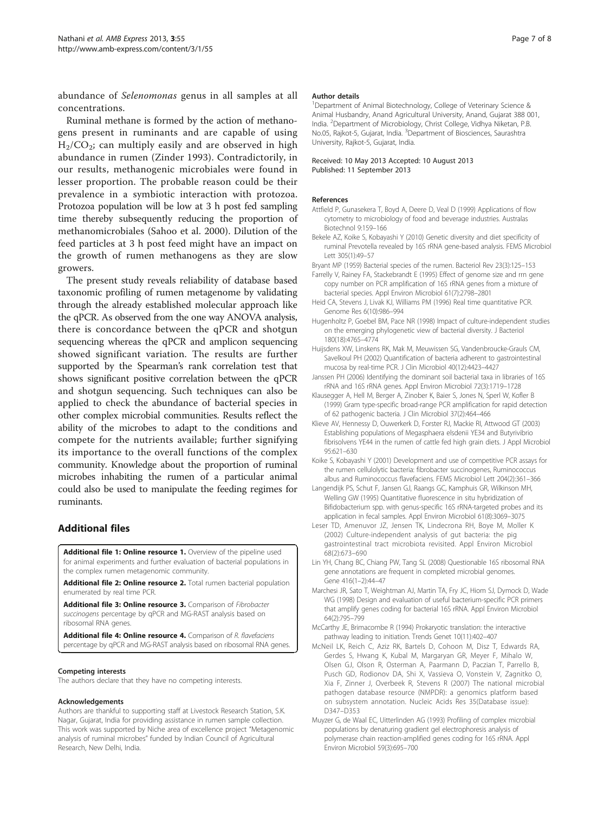<span id="page-6-0"></span>abundance of Selenomonas genus in all samples at all concentrations.

Ruminal methane is formed by the action of methanogens present in ruminants and are capable of using  $H<sub>2</sub>/CO<sub>2</sub>$ ; can multiply easily and are observed in high abundance in rumen (Zinder [1993](#page-7-0)). Contradictorily, in our results, methanogenic microbiales were found in lesser proportion. The probable reason could be their prevalence in a symbiotic interaction with protozoa. Protozoa population will be low at 3 h post fed sampling time thereby subsequently reducing the proportion of methanomicrobiales (Sahoo et al. [2000\)](#page-7-0). Dilution of the feed particles at 3 h post feed might have an impact on the growth of rumen methanogens as they are slow growers.

The present study reveals reliability of database based taxonomic profiling of rumen metagenome by validating through the already established molecular approach like the qPCR. As observed from the one way ANOVA analysis, there is concordance between the qPCR and shotgun sequencing whereas the qPCR and amplicon sequencing showed significant variation. The results are further supported by the Spearman's rank correlation test that shows significant positive correlation between the qPCR and shotgun sequencing. Such techniques can also be applied to check the abundance of bacterial species in other complex microbial communities. Results reflect the ability of the microbes to adapt to the conditions and compete for the nutrients available; further signifying its importance to the overall functions of the complex community. Knowledge about the proportion of ruminal microbes inhabiting the rumen of a particular animal could also be used to manipulate the feeding regimes for ruminants.

## Additional files

[Additional file 1: Online resource 1.](http://www.biomedcentral.com/content/supplementary/2191-0855-3-55-S1.doc) Overview of the pipeline used for animal experiments and further evaluation of bacterial populations in the complex rumen metagenomic community.

[Additional file 2: Online resource 2.](http://www.biomedcentral.com/content/supplementary/2191-0855-3-55-S2.doc) Total rumen bacterial population enumerated by real time PCR.

[Additional file 3: Online resource 3.](http://www.biomedcentral.com/content/supplementary/2191-0855-3-55-S3.doc) Comparison of Fibrobacter succinogens percentage by qPCR and MG-RAST analysis based on ribosomal RNA genes.

[Additional file 4: Online resource 4.](http://www.biomedcentral.com/content/supplementary/2191-0855-3-55-S4.doc) Comparison of R. flavefaciens percentage by qPCR and MG-RAST analysis based on ribosomal RNA genes.

#### Competing interests

The authors declare that they have no competing interests.

#### Acknowledgements

Authors are thankful to supporting staff at Livestock Research Station, S.K. Nagar, Gujarat, India for providing assistance in rumen sample collection. This work was supported by Niche area of excellence project "Metagenomic analysis of ruminal microbes" funded by Indian Council of Agricultural Research, New Delhi, India.

#### Author details

<sup>1</sup>Department of Animal Biotechnology, College of Veterinary Science & Animal Husbandry, Anand Agricultural University, Anand, Gujarat 388 001, India. <sup>2</sup> Department of Microbiology, Christ College, Vidhya Niketan, P.B. No.05, Rajkot-5, Gujarat, India. <sup>3</sup>Department of Biosciences, Saurashtra University, Rajkot-5, Gujarat, India.

#### Received: 10 May 2013 Accepted: 10 August 2013 Published: 11 September 2013

#### References

- Attfield P, Gunasekera T, Boyd A, Deere D, Veal D (1999) Applications of flow cytometry to microbiology of food and beverage industries. Australas Biotechnol 9:159–166
- Bekele AZ, Koike S, Kobayashi Y (2010) Genetic diversity and diet specificity of ruminal Prevotella revealed by 16S rRNA gene-based analysis. FEMS Microbiol Lett 305(1):49–57
- Bryant MP (1959) Bacterial species of the rumen. Bacteriol Rev 23(3):125–153
- Farrelly V, Rainey FA, Stackebrandt E (1995) Effect of genome size and rrn gene copy number on PCR amplification of 16S rRNA genes from a mixture of bacterial species. Appl Environ Microbiol 61(7):2798–2801
- Heid CA, Stevens J, Livak KJ, Williams PM (1996) Real time quantitative PCR. Genome Res 6(10):986–994
- Hugenholtz P, Goebel BM, Pace NR (1998) Impact of culture-independent studies on the emerging phylogenetic view of bacterial diversity. J Bacteriol 180(18):4765–4774
- Huijsdens XW, Linskens RK, Mak M, Meuwissen SG, Vandenbroucke-Grauls CM, Savelkoul PH (2002) Quantification of bacteria adherent to gastrointestinal mucosa by real-time PCR. J Clin Microbiol 40(12):4423–4427
- Janssen PH (2006) Identifying the dominant soil bacterial taxa in libraries of 16S rRNA and 16S rRNA genes. Appl Environ Microbiol 72(3):1719–1728
- Klausegger A, Hell M, Berger A, Zinober K, Baier S, Jones N, Sperl W, Kofler B (1999) Gram type-specific broad-range PCR amplification for rapid detection of 62 pathogenic bacteria. J Clin Microbiol 37(2):464–466
- Klieve AV, Hennessy D, Ouwerkerk D, Forster RJ, Mackie RI, Attwood GT (2003) Establishing populations of Megasphaera elsdenii YE34 and Butyrivibrio fibrisolvens YE44 in the rumen of cattle fed high grain diets. J Appl Microbiol 95:621–630
- Koike S, Kobayashi Y (2001) Development and use of competitive PCR assays for the rumen cellulolytic bacteria: fibrobacter succinogenes, Ruminococcus albus and Ruminococcus flavefaciens. FEMS Microbiol Lett 204(2):361–366
- Langendijk PS, Schut F, Jansen GJ, Raangs GC, Kamphuis GR, Wilkinson MH, Welling GW (1995) Quantitative fluorescence in situ hybridization of Bifidobacterium spp. with genus-specific 16S rRNA-targeted probes and its application in fecal samples. Appl Environ Microbiol 61(8):3069–3075
- Leser TD, Amenuvor JZ, Jensen TK, Lindecrona RH, Boye M, Moller K (2002) Culture-independent analysis of gut bacteria: the pig gastrointestinal tract microbiota revisited. Appl Environ Microbiol 68(2):673–690
- Lin YH, Chang BC, Chiang PW, Tang SL (2008) Questionable 16S ribosomal RNA gene annotations are frequent in completed microbial genomes. Gene 416(1–2):44–47
- Marchesi JR, Sato T, Weightman AJ, Martin TA, Fry JC, Hiom SJ, Dymock D, Wade WG (1998) Design and evaluation of useful bacterium-specific PCR primers that amplify genes coding for bacterial 16S rRNA. Appl Environ Microbiol 64(2):795–799
- McCarthy JE, Brimacombe R (1994) Prokaryotic translation: the interactive pathway leading to initiation. Trends Genet 10(11):402–407
- McNeil LK, Reich C, Aziz RK, Bartels D, Cohoon M, Disz T, Edwards RA, Gerdes S, Hwang K, Kubal M, Margaryan GR, Meyer F, Mihalo W, Olsen GJ, Olson R, Osterman A, Paarmann D, Paczian T, Parrello B, Pusch GD, Rodionov DA, Shi X, Vassieva O, Vonstein V, Zagnitko O, Xia F, Zinner J, Overbeek R, Stevens R (2007) The national microbial pathogen database resource (NMPDR): a genomics platform based on subsystem annotation. Nucleic Acids Res 35(Database issue): D347–D353
- Muyzer G, de Waal EC, Uitterlinden AG (1993) Profiling of complex microbial populations by denaturing gradient gel electrophoresis analysis of polymerase chain reaction-amplified genes coding for 16S rRNA. Appl Environ Microbiol 59(3):695–700